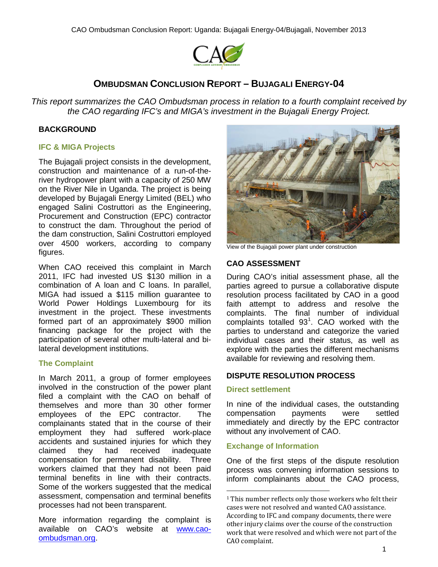

# **OMBUDSMAN CONCLUSION REPORT – BUJAGALI ENERGY-04**

*This report summarizes the CAO Ombudsman process in relation to a fourth complaint received by the CAO regarding IFC's and MIGA's investment in the Bujagali Energy Project.*

# **BACKGROUND**

### **IFC & MIGA Projects**

The Bujagali project consists in the development, construction and maintenance of a run-of-theriver hydropower plant with a capacity of 250 MW on the River Nile in Uganda. The project is being developed by Bujagali Energy Limited (BEL) who engaged Salini Costruttori as the Engineering, Procurement and Construction (EPC) contractor to construct the dam. Throughout the period of the dam construction, Salini Costruttori employed over 4500 workers, according to company figures.

When CAO received this complaint in March 2011, IFC had invested US \$130 million in a combination of A loan and C loans. In parallel, MIGA had issued a \$115 million guarantee to World Power Holdings Luxembourg for its investment in the project. These investments formed part of an approximately \$900 million financing package for the project with the participation of several other multi-lateral and bilateral development institutions.

### **The Complaint**

In March 2011, a group of former employees involved in the construction of the power plant filed a complaint with the CAO on behalf of themselves and more than 30 other former employees of the EPC contractor. The complainants stated that in the course of their employment they had suffered work-place accidents and sustained injuries for which they<br>claimed they had received inadequate claimed they had received inadequate compensation for permanent disability. Three workers claimed that they had not been paid terminal benefits in line with their contracts. Some of the workers suggested that the medical assessment, compensation and terminal benefits processes had not been transparent.

<span id="page-0-0"></span>More information regarding the complaint is available on CAO's website at [www.cao](http://www.cao-ombudsman.org/)[ombudsman.org.](http://www.cao-ombudsman.org/)



View of the Bujagali power plant under construction

## **CAO ASSESSMENT**

During CAO's initial assessment phase, all the parties agreed to pursue a collaborative dispute resolution process facilitated by CAO in a good faith attempt to address and resolve the complaints. The final number of individual complaints totalled  $93<sup>1</sup>$  $93<sup>1</sup>$  $93<sup>1</sup>$ . CAO worked with the parties to understand and categorize the varied individual cases and their status, as well as explore with the parties the different mechanisms available for reviewing and resolving them.

### **DISPUTE RESOLUTION PROCESS**

#### **Direct settlement**

In nine of the individual cases, the outstanding compensation payments were settled immediately and directly by the EPC contractor without any involvement of CAO.

### **Exchange of Information**

One of the first steps of the dispute resolution process was convening information sessions to inform complainants about the CAO process,

<sup>&</sup>lt;sup>1</sup> This number reflects only those workers who felt their cases were not resolved and wanted CAO assistance. According to IFC and company documents, there were other injury claims over the course of the construction work that were resolved and which were not part of the CAO complaint.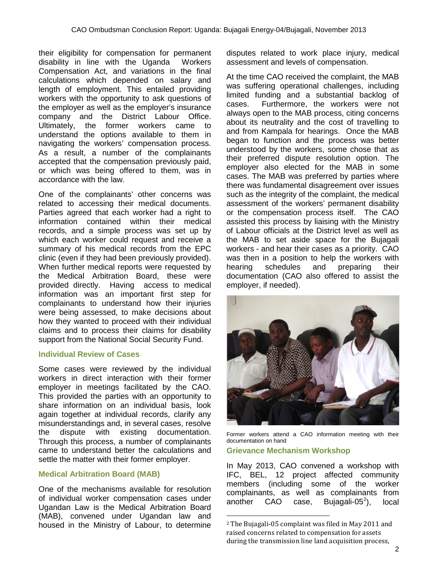their eligibility for compensation for permanent disability in line with the Uganda Workers Compensation Act, and variations in the final calculations which depended on salary and length of employment. This entailed providing workers with the opportunity to ask questions of the employer as well as the employer's insurance company and the District Labour Office. Ultimately, the former workers came to understand the options available to them in navigating the workers' compensation process. As a result, a number of the complainants accepted that the compensation previously paid, or which was being offered to them, was in accordance with the law.

One of the complainants' other concerns was related to accessing their medical documents. Parties agreed that each worker had a right to information contained within their medical records, and a simple process was set up by which each worker could request and receive a summary of his medical records from the EPC clinic (even if they had been previously provided). When further medical reports were requested by the Medical Arbitration Board, these were provided directly. Having access to medical information was an important first step for complainants to understand how their injuries were being assessed, to make decisions about how they wanted to proceed with their individual claims and to process their claims for disability support from the National Social Security Fund.

### **Individual Review of Cases**

Some cases were reviewed by the individual workers in direct interaction with their former employer in meetings facilitated by the CAO. This provided the parties with an opportunity to share information on an individual basis, look again together at individual records, clarify any misunderstandings and, in several cases, resolve the dispute with existing documentation. Through this process, a number of complainants came to understand better the calculations and settle the matter with their former employer.

#### **Medical Arbitration Board (MAB)**

<span id="page-1-0"></span>One of the mechanisms available for resolution of individual worker compensation cases under Ugandan Law is the Medical Arbitration Board (MAB), convened under Ugandan law and housed in the Ministry of Labour, to determine disputes related to work place injury, medical assessment and levels of compensation.

At the time CAO received the complaint, the MAB was suffering operational challenges, including limited funding and a substantial backlog of cases. Furthermore, the workers were not always open to the MAB process, citing concerns about its neutrality and the cost of travelling to and from Kampala for hearings. Once the MAB began to function and the process was better understood by the workers, some chose that as their preferred dispute resolution option. The employer also elected for the MAB in some cases. The MAB was preferred by parties where there was fundamental disagreement over issues such as the integrity of the complaint, the medical assessment of the workers' permanent disability or the compensation process itself. The CAO assisted this process by liaising with the Ministry of Labour officials at the District level as well as the MAB to set aside space for the Bujagali workers - and hear their cases as a priority. CAO was then in a position to help the workers with hearing schedules and preparing their documentation (CAO also offered to assist the employer, if needed).



Former workers attend a CAO information meeting with their documentation on hand

### **Grievance Mechanism Workshop**

In May 2013, CAO convened a workshop with IFC, BEL, 12 project affected community members (including some of the worker complainants, as well as complainants from<br>another CAO case, Bujagali-05<sup>2</sup>), local another  $CAO$  case, Bujagali-05<sup>[2](#page-1-0)</sup>), local

 <sup>2</sup> The Bujagali-05 complaint was filed in May 2011 and raised concerns related to compensation for assets during the transmission line land acquisition process,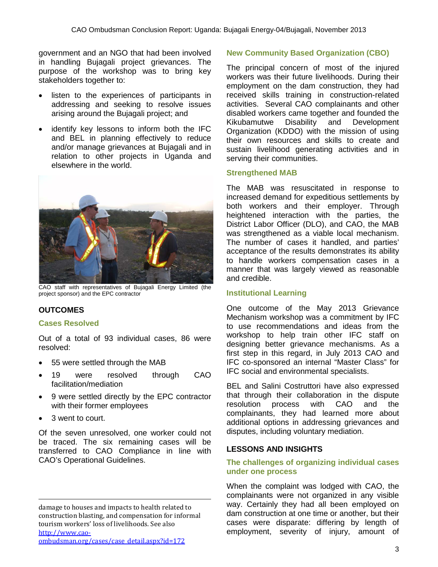government and an NGO that had been involved in handling Bujagali project grievances. The purpose of the workshop was to bring key stakeholders together to:

- listen to the experiences of participants in addressing and seeking to resolve issues arising around the Bujagali project; and
- identify key lessons to inform both the IFC and BEL in planning effectively to reduce and/or manage grievances at Bujagali and in relation to other projects in Uganda and elsewhere in the world.



CAO staff with representatives of Bujagali Energy Limited (the project sponsor) and the EPC contractor

# **OUTCOMES**

### **Cases Resolved**

Out of a total of 93 individual cases, 86 were resolved:

- 55 were settled through the MAB
- 19 were resolved through CAO facilitation/mediation
- 9 were settled directly by the EPC contractor with their former employees
- 3 went to court.

Of the seven unresolved, one worker could not be traced. The six remaining cases will be transferred to CAO Compliance in line with CAO's Operational Guidelines.

## **New Community Based Organization (CBO)**

The principal concern of most of the injured workers was their future livelihoods. During their employment on the dam construction, they had received skills training in construction-related activities. Several CAO complainants and other disabled workers came together and founded the<br>Kikubamutwe Disability and Development Kikubamutwe Disability and Development Organization (KDDO) with the mission of using their own resources and skills to create and sustain livelihood generating activities and in serving their communities.

#### **Strengthened MAB**

The MAB was resuscitated in response to increased demand for expeditious settlements by both workers and their employer. Through heightened interaction with the parties, the District Labor Officer (DLO), and CAO, the MAB was strengthened as a viable local mechanism. The number of cases it handled, and parties' acceptance of the results demonstrates its ability to handle workers compensation cases in a manner that was largely viewed as reasonable and credible.

### **Institutional Learning**

One outcome of the May 2013 Grievance Mechanism workshop was a commitment by IFC to use recommendations and ideas from the workshop to help train other IFC staff on designing better grievance mechanisms. As a first step in this regard, in July 2013 CAO and IFC co-sponsored an internal "Master Class" for IFC social and environmental specialists.

BEL and Salini Costruttori have also expressed that through their collaboration in the dispute resolution process with CAO and the complainants, they had learned more about additional options in addressing grievances and disputes, including voluntary mediation.

# **LESSONS AND INSIGHTS**

#### **The challenges of organizing individual cases under one process**

When the complaint was lodged with CAO, the complainants were not organized in any visible way. Certainly they had all been employed on dam construction at one time or another, but their cases were disparate: differing by length of employment, severity of injury, amount of

i<br>I damage to houses and impacts to health related to construction blasting, and compensation for informal tourism workers' loss of livelihoods. See also [http://www.cao](http://www.cao-ombudsman.org/cases/case_detail.aspx?id=172)[ombudsman.org/cases/case\\_detail.aspx?id=172](http://www.cao-ombudsman.org/cases/case_detail.aspx?id=172)